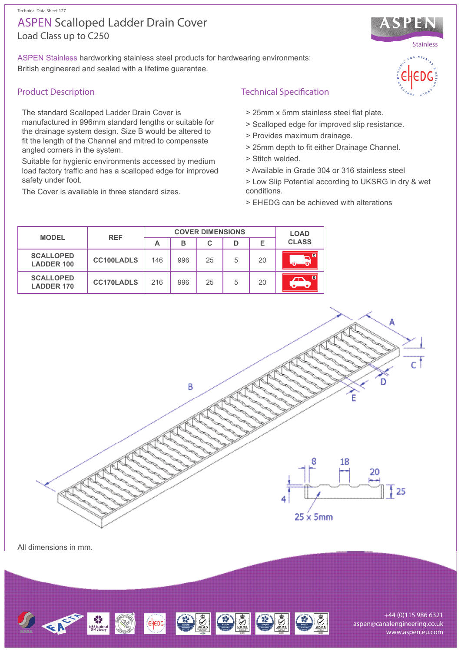CHEDE 3 3 3 3 3 3 3

+44 (0)115 986 6321 aspen@canalengineering.co.uk www.aspen.eu.com

# Load Class up to C250 ASPEN Scalloped Ladder Drain Cover

ASPEN Stainless hardworking stainless steel products for hardwearing environments: British engineered and sealed with a lifetime guarantee.

## Product Description

The standard Scalloped Ladder Drain Cover is manufactured in 996mm standard lengths or suitable for the drainage system design. Size B would be altered to fit the length of the Channel and mitred to compensate angled corners in the system.

Suitable for hygienic environments accessed by medium load factory traffic and has a scalloped edge for improved safety under foot.

The Cover is available in three standard sizes.

## Technical Specification

- > 25mm x 5mm stainless steel flat plate.
- > Scalloped edge for improved slip resistance.
- > Provides maximum drainage.
- > 25mm depth to fit either Drainage Channel.
- > Stitch welded.
- > Available in Grade 304 or 316 stainless steel
- > Low Slip Potential according to UKSRG in dry & wet conditions.
- > EHEDG can be achieved with alterations

| <b>MODEL</b>                          | <b>REF</b>        | <b>COVER DIMENSIONS</b> |     |    |   |    | <b>LOAD</b>  |
|---------------------------------------|-------------------|-------------------------|-----|----|---|----|--------------|
|                                       |                   | А                       | в   | C  | D | Е  | <b>CLASS</b> |
| <b>SCALLOPED</b><br><b>LADDER 100</b> | <b>CC100LADLS</b> | 146                     | 996 | 25 | 5 | 20 |              |
| <b>SCALLOPED</b><br><b>LADDER 170</b> | <b>CC170LADLS</b> | 216                     | 996 | 25 | 5 | 20 | B            |